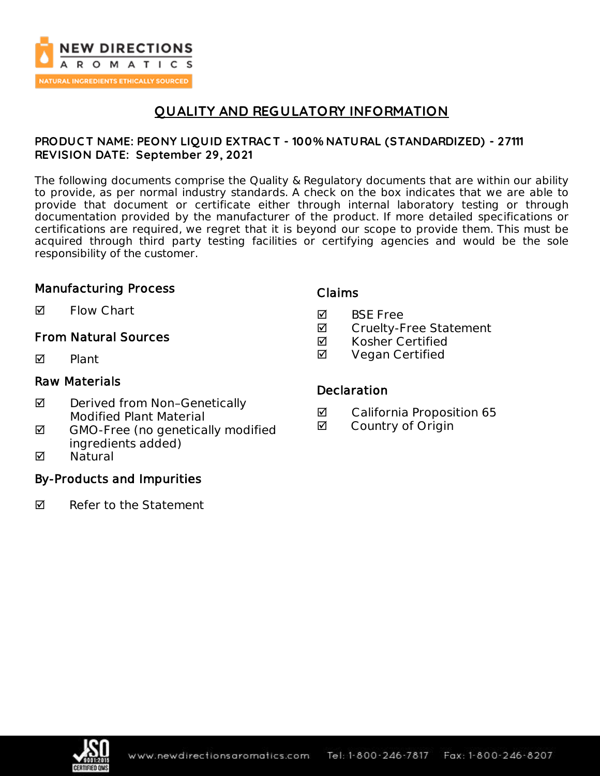

# **QUALITY AND REGULATORY INFORMATION**

### **PRODUC T NAME: PEONY LIQUID EXTRAC T - 100% NATURAL (STANDARDIZED) - 27111 REVISION DATE: September 29, 2021**

The following documents comprise the Quality & Regulatory documents that are within our ability to provide, as per normal industry standards. A check on the box indicates that we are able to provide that document or certificate either through internal laboratory testing or through documentation provided by the manufacturer of the product. If more detailed specifications or certifications are required, we regret that it is beyond our scope to provide them. This must be acquired through third party testing facilities or certifying agencies and would be the sole responsibility of the customer.

### Manufacturing Process

 $\blacksquare$  Flow Chart

## From Natural Sources

 $\nabla$  Plant

### Raw Materials

- ◘ Derived from Non-Genetically Modified Plant Material
- $\boxtimes$  GMO-Free (no genetically modified ingredients added)
- **M** Natural

## By-Products and Impurities

 $\nabla$  Refer to the Statement

### Claims

- **M** BSF Free
- **Ø** Cruelty-Free Statement
- $\boxtimes$  Kosher Certified
- **Ø** Vegan Certified

### **Declaration**

- California Proposition 65
- **Ø** Country of Origin

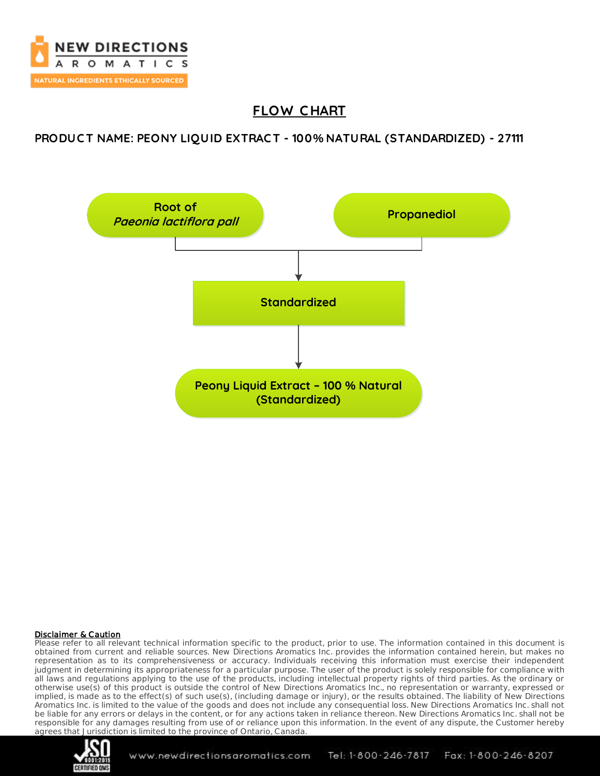

# **FLOW C HART**

### **PRODUC T NAME: PEONY LIQUID EXTRAC T - 100% NATURAL (STANDARDIZED) - 27111**



### Disclaimer & Caution

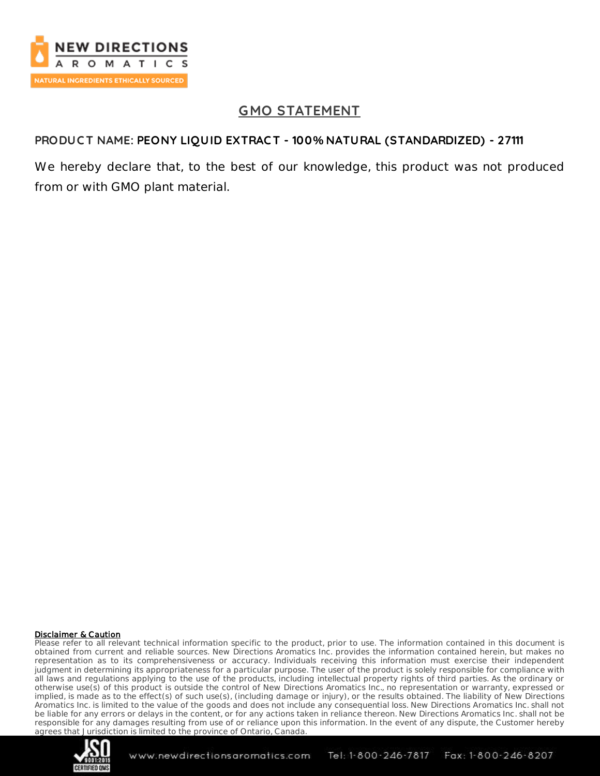

# **GMO STATEMENT**

## **PRODUC T NAME: PEONY LIQUID EXTRAC T - 100% NATURAL (STANDARDIZED) - 27111**

We hereby declare that, to the best of our knowledge, this product was not produced from or with GMO plant material.

### Disclaimer & Caution

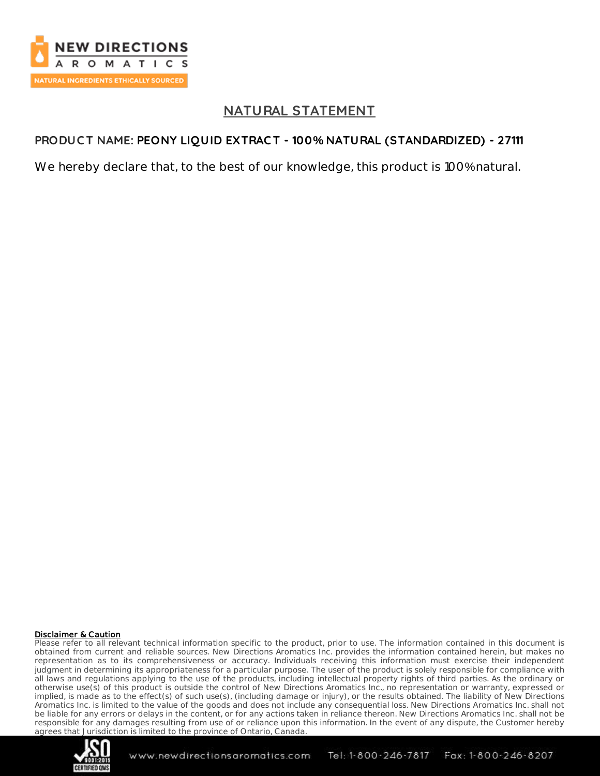

## **NATURAL STATEMENT**

## **PRODUC T NAME: PEONY LIQUID EXTRAC T - 100% NATURAL (STANDARDIZED) - 27111**

We hereby declare that, to the best of our knowledge, this product is 100% natural.

### Disclaimer & Caution

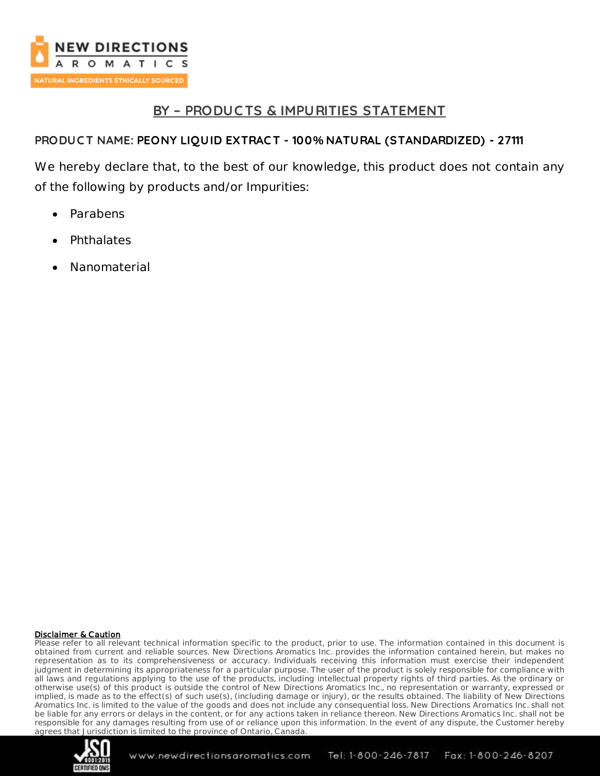

## **BY – PRODUC TS & IMPURITIES STATEMENT**

## **PRODUC T NAME: PEONY LIQUID EXTRAC T - 100% NATURAL (STANDARDIZED) - 27111**

We hereby declare that, to the best of our knowledge, this product does not contain any of the following by products and/or Impurities:

- Parabens
- **Phthalates**
- Nanomaterial

### Disclaimer & Caution

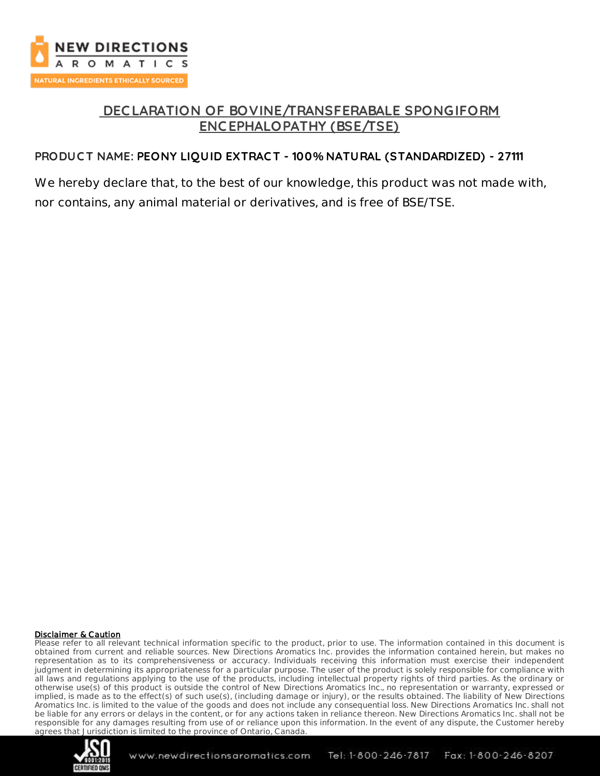

## **DEC LARATION OF BOVINE/TRANSFERABALE SPONGIFORM ENC EPHALOPATHY (BSE/TSE)**

## **PRODUC T NAME: PEONY LIQUID EXTRAC T - 100% NATURAL (STANDARDIZED) - 27111**

We hereby declare that, to the best of our knowledge, this product was not made with, nor contains, any animal material or derivatives, and is free of BSE/TSE.

#### Disclaimer & Caution

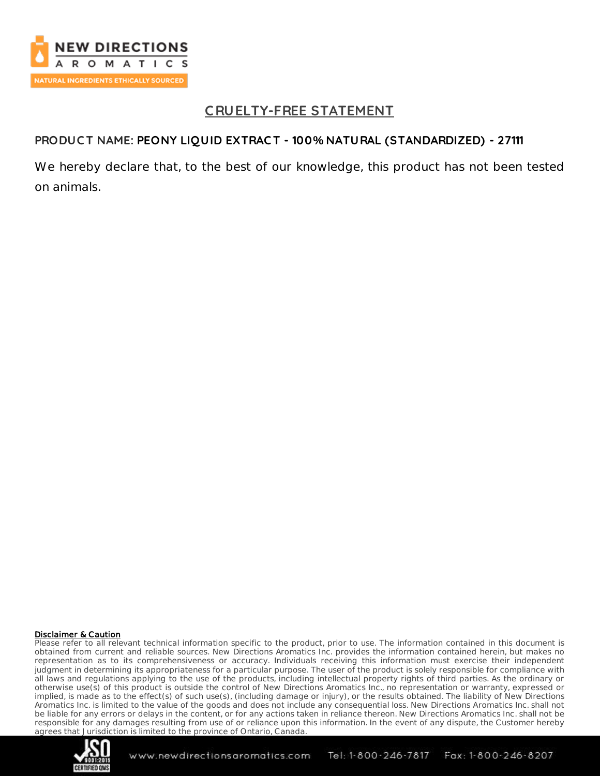

## **C RUELTY-FREE STATEMENT**

## **PRODUC T NAME: PEONY LIQUID EXTRAC T - 100% NATURAL (STANDARDIZED) - 27111**

We hereby declare that, to the best of our knowledge, this product has not been tested on animals.

#### Disclaimer & Caution

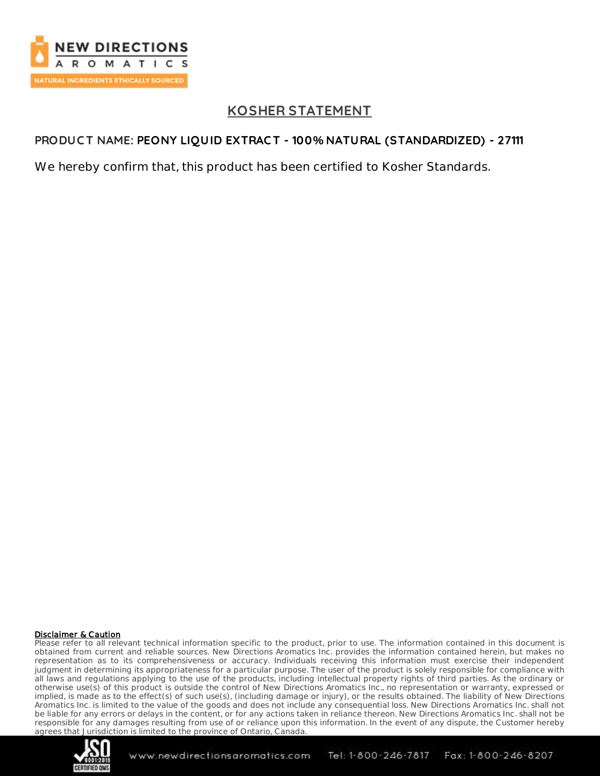

# **KOSHER STATEMENT**

## **PRODUC T NAME: PEONY LIQUID EXTRAC T - 100% NATURAL (STANDARDIZED) - 27111**

We hereby confirm that, this product has been certified to Kosher Standards.

### Disclaimer & Caution

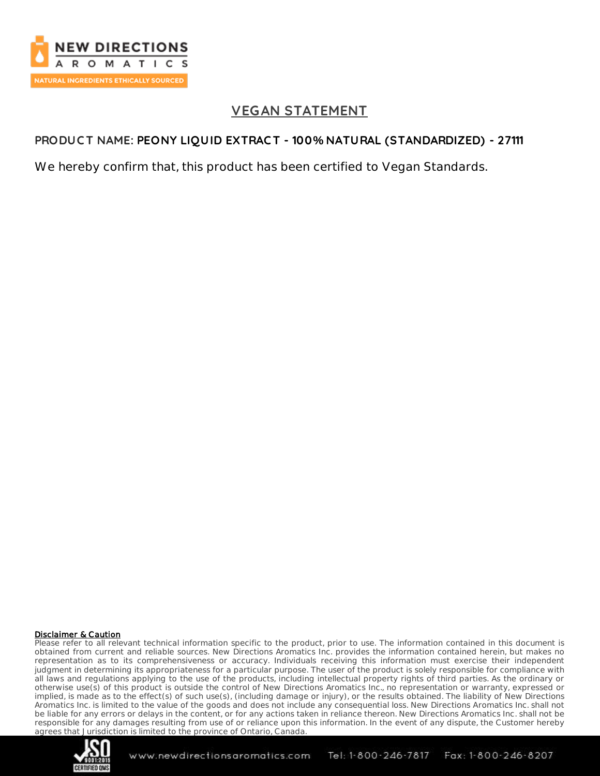

## **VEGAN STATEMENT**

## **PRODUC T NAME: PEONY LIQUID EXTRAC T - 100% NATURAL (STANDARDIZED) - 27111**

We hereby confirm that, this product has been certified to Vegan Standards.

### Disclaimer & Caution

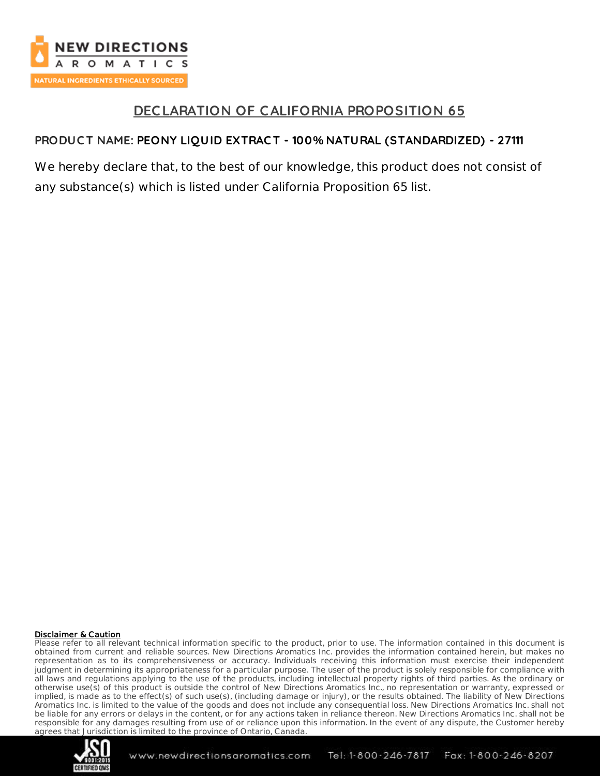

## **DEC LARATION OF CALIFORNIA PROPOSITION 65**

## **PRODUC T NAME: PEONY LIQUID EXTRAC T - 100% NATURAL (STANDARDIZED) - 27111**

We hereby declare that, to the best of our knowledge, this product does not consist of any substance(s) which is listed under California Proposition 65 list.

### Disclaimer & Caution